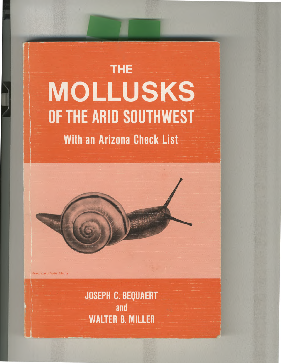# **With an Arizona Check List THE MOLLUSKS OF THE ARID SOUTHWEST** 1 •

Sonorella grientis Pilsbry

**JOSEPH C. BEQUAERT and WALTER B. MILLER**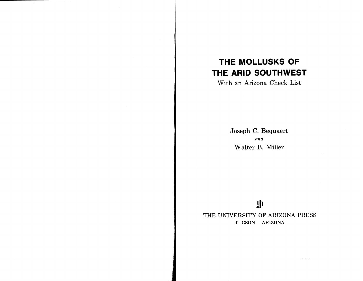## **THE MOLLUSKS OF THE ARID SOUTHWEST**

**With an Arizona Check List** 

**Joseph C. Bequaert and Walter B. Miller** 

## 小

 $\sim$  -parameters

**THE UNIVERSITY OF ARIZONA PRESS TUCSON ARIZONA**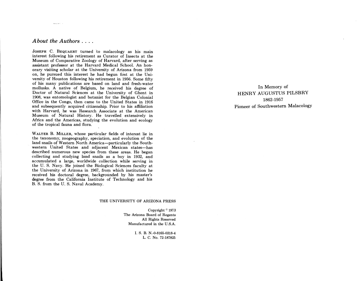### *About the Authors . . • •*

and and the

**JOSEPH C. BEQUAERT turned to malacology as his main interest following his retirement as Curator of Insects at the Museum of Comparative Zoology of Harvard, after serving as assistant professor at the Harvard Medical School. An honorary visiting scholar at the University of Arizona from 1959 on, he pursued this interest he had begun first at the University of Houston following his retirement in 1956. Some fifty of his many publications are based on land and fresh-water mollusks. A native of Belgium, he received his degree of Doctor of Natural Sciences at the University of Ghent in 1908, was entomologist and botanist for the Belgian Colonial Office in the Congo, then came to the United States in 1916 and subsequently acquired citizenship. Prior to his affiliation with Harvard, he was Research Associate at the American Museum of Natural History. He travelled extensively in Africa and the Americas, studying the evolution and ecology of the tropical fauna and flora.** 

**WALTER B. MILLER, whose particular fields of interest lie in the taxonomy, zoogeography, speciation, and evolution of the land snails of Western North America—particularly the Southwestern United States and adjacent Mexican states—has described numerous new species from these areas. He began collecting and studying land snails as a boy in 1932, and accumulated a large, worldwide collection while serving in the U. S. Navy. He joined the Biological Sciences faculty at the University of Arizona in 1967, from which institution he received his doctoral degree, backgrounded by his master's degree from the California Institute of Technology and his B. S. from the U. S. Naval Academy.** 

#### **THE UNIVERSITY OF ARIZONA PRESS**

**Copyright © 1973 The Arizona Board of Regents All Rights Reserved Manufactured in the U.S.A.** 

> **I. S. B. N.-0-8165-0318-4 L. C. No. 72-187825**

**In Memory of HENRY AUGUSTUS PILSBRY 1862-1957 Pioneer of Southwestern Malacology**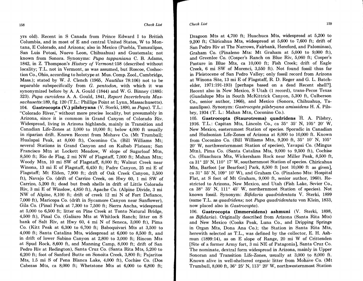*Check List* **159 158** *Check List* 

**yrs old). Recent in S Canada from Prince Edward I to British Columbia, and in most of E and central United States, W to Montana, E Colorado, and Arizona; also in Mexico (Puebla, Tamaulipas, San Luis Potosi, Nuevo Leon, Chihuahua) and Guatemala; not known from Sonora. Synonyms:** *Pupa tappaniana* **C. B. Adams, 1842, in Z. Thompson's** *History of* **Vermont:158 (described without locality; T.L. not in Vermont, as was assumed, but Roscoe, Coshoction Co., Ohio, according to holotype at Mus. Comp. Zool., Cambridge, Mass.); stated by W. J. Clench (1965,** *Nautilus* **78:106) not to be separable subspecifically from** *G. pentodon,* **with which it was synonymized before by A. A. Gould (1844) and W. G. Binney (1885: 323).** *Pupa curvidens* **A. A. Gould, 1841,** *Report Invertebrata Massachusetts:189,* **fig. 120 (T.L.: Phillips Point at Lynn, Massachusetts). 104. Gastrocopta (V.) pilsbryana (V. Sterki, 1890, as** *Pupa).* **T.L.: "Colorado River," without more precise locality, but presumably in Arizona, since it is common in Grand Canyon of Colorado Riv. Widespread, living in Arizona highlands, mainly in Transition and Canadian Life-Zones at 3,000 to 10,000 ft; below 4,000 ft usually in riparian drift. Known Recent from Mohave Co. (Mt Trumbull; Hualapai Peak, at 8,000 ft), Coconino Co. (Bill Williams Mt; several Stations in Grand Canyon and on Kaibab Plateau; San Francisco Mtn at Lockett Meadow, W slope of Sugarloaf Mtn, 8,500 ft; Rio de Flag, 2 mi NW of Flagstaff, 7,000 ft; Mahan Mtn; Woody Mtn, 10 mi SW of Flagstaff, 8,000 ft; Walnut Creek near Winona, 13 mi E of Flagstaff, 6,450 ft; Padre Canyon, 25 mi E of Flagstaff; Mt Elden, 7,900 ft; drift of Oak Creek Canyon, 3,500 ft), Navajo Co. (drift of Carrizo Creek, on Hwy 60, 1 mi SW of Carrizo, 5,200 ft; dead but fresh shells in drift of Little Colorado Riv, 3 mi E of Winslow, 4,850 ft), Apache Co. (Alpine Divide, 3 mi NW of Alpine, 8,100 ft; drift of creek 12 mi N of Fort Defiance, 7,000 ft), Maricopa Co. (drift in Sycamore Canyon near Sunflower), Gila Co. (Pinal Peak at 7,300 to 7,500 ft; Sierra Ancha, widespread at 5,000 to 6,500 ft; litter on Pine Creek at Tonto Natural Bridge, 4,500 ft), Pinal Co. (Galiuro Mts at Whitlock Ranch; litter on S bank of Salt Riv, at Hwy 60, 4 mi N of Seneca, 3,000 ft), Pima Co. (Kitt Peak at 6,300 to 6,700 ft; Baboquivari Mts at 3,500 to 4,000 ft; Santa Catalina Mts, widespread at 6,000 to 8,500 ft, and in drift of lower Sabino Canyon at 2,800 to 3,000 ft; Rincon Mts at Spud Rock, 8,600 ft, and Manning Camp, 8,000 ft; drift of San Pedro Riv at Redington), Santa Cruz Co. (Santa Rita Mts, 5,200 to 6,200 ft; foot of Sanford Butte on Sonoita Creek, 3,800 ft; Pajaritos Mts, 1.5 mi S of Pena Blanca Lake, 4,000 ft), Cochise Co. (Dos Cabezas Mts, ca 8,000 ft; Whetstone Mts at 6,000 to 6,800 ft;** 

**Dragoon Mts at 4,700 ft; Huachuca Mts, widespread at 5,200 to 9,200 ft; Chiricahua Mts, widespread at 5,600 to 7,600 ft; drift of San Pedro Riv at The Narrows, Fairbank, Hereford, and Palominas), Graham Co. (Pinaleno Mts: Mt Graham at 5,000 to 9,000 ft), and Greenlee Co. (Cosper's Ranch on Blue Riv, 5,060 ft; Cosper's Pasture in Blue Mts, ca 10,000 ft; Fish Creek; drift of Eagle Creek, 6 mi SW of Morenci, 3,550 ft). Not found fossil thus far in Pleistocene of San Pedro Valley; only fossil record from Arizona at Winona Site, 13 mi E of Flagstaff, R. D. Reger and G. L. Batchelder, 1971:191-193) [perhaps based on a dead Recent shell?]. Recent also in New Mexico, S Utah (1 record), trans-Pecos Texas (Guadalupe Mts in South McKittrick Canyon, 5,300 ft, Culberson Co., senior author, 1966), and Mexico (Sonora, Chihuahua, Tamaulipas). Synonym:** *Gastrocopta pilsbryana amissidens* **H. A. Pilsbry, 1934 (T. L.: Mahan Mtn, Coconino Co.).** 

**105. Gastrocopta (Staurotrema) quadridens H. A. Pilsbry, 1916. T.L.: Capitan Mts, Lincoln Co., ca 35° 35' N, 105° 20' W, New Mexico, easternmost Station of species. Sporadic in Canadian and Hudsonian Life-Zones of Arizona at 8,000 to 10,000 ft. Known from Coconino Co. (Bill Williams Mtn, 9,200 ft, 35° 10' N, 105° 20' W, northwesternmost Station of species), Yavapai Co. (Mingus Mtn), Pima Co. (Santa Catalina Mts, 9,000 to 9,500 ft), Cochise Co. (Huachuca Mts, Wickersham Rock near Miller Peak, 8,500 ft, ca 31° 23' N, 110° 17' W, southernmost Station of species. Chiricahua Mts, Barfoot [or Bearfoot] Park, 8,500 ft [not 10,000 ft as given], ca 31° 55' N, 109° 10' W), and Graham Co. (Pinaleno Mts: Hospital Flat, at S foot of Mt Graham, 9,000 ft, senior author, 1960). Restricted to Arizona, New Mexico, and Utah (Fish Lake, Sevier Co., ca 38° 35' N, 111 ° 45' W, northernmost Station of species). Not known fossil. Synonym:** *Bifidaria quadridentata* **V. Sterki, 1899 (same T.L. as** *quadridens;* **not** *Pupa quadridentata* **von Klein, 1833, now placed also in** *Gastrocopta).* 

**106. Gastrocopta (Immersidens) ashmuni (V. Sterki, 1898, as** *Bifidaria).* **Originally described from Arizona (Santa Rita Mts) and New Mexico (Cooks Peak, Luna Co., and Dripping Springs in Organ Mts, Dona Ana Co.); the Station in Santa Rita Mts, herewith selected as T.L., was defined by the collector, E. H. Ashmun (1899:14), as on E slope of Range, 20 mi W of Crittenden [Site of a former Army fort, 3 mi NE of Patagonia], Santa Cruz Co. The nominate, dextral form widespread in Arizona, mainly in Upper**  Sonoran and Transition Life-Zones, usually at 3,000 to 8,000 ft. **Known alive in well-sheltered organic litter from Mohave Co. (Mt Trumbull, 8,000 ft, 36° 25' N, 113° 20' W, northwesternmost Station**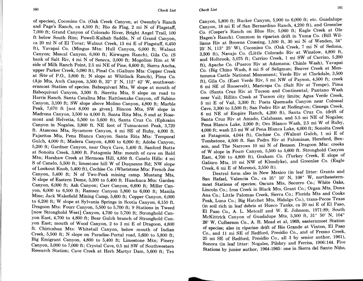of species), Coconino Co. (Oak Creek Canyon, at Owenby's Ranch **and Page's Ranch, ca 4,500 ft; Rio de Flag, 2 mi N of Flagstaff, 7,000 ft; Grand Canyon of Colorado River, Bright Angel Trail, 100 ft below South Rim; Powell-Kaibab Saddle, N of Grand Canyon, ca 20 mi N of El Tovar; Walnut Creek, 13 mi E of Flagstaff, 6,450 ft), Yavapai Co. (Mingus Mtn: Hull Canyon, 6,000 ft; Walnut Canyon; Mescal Canyon, 6,000 ft; Kirwagen Ranch), Gila Co. (S bank of Salt Riv, 4 mi N of Seneca, 3,000 ft; Mogollon Rim at W side of Milk Ranch Point, 2.5 mi NE of Pine, 6,600 ft; Sierra Ancha, upper Parker Creek, 5,080 ft), Pinal Co. (Galiuro Mts: Copper Creek at Site of P.O., 3,800 ft; N slope at Whitlock Ranch), Pima Co. (Ajo Mts, Arch Canyon, 3,500 ft, 32° 2' N, 112° 42' W, southwesternmost Station of species. Baboquivari Mts, W slope at mouth of Baboquivari Canyon, 3,500 ft. Sierrita Mts, S slope on road to Harris Ranch. Santa Catalina Mts: Rattlesnake Canyon, off Sabino Canyon, 3,100 ft; SW slope above Molino Canyon, 4,800 ft; Marble Peak, 7,670 ft [not 8,000 as given]. Rincon Mts, SW slope in Madrona Canyon, 3,500 to 4,000 ft. Santa Rita Mts, S end at Rosemont and Helvetia, 5,500 to 5,600 ft), Santa Cruz Co. (Ephraim Canyon in Nogales, 3,800 ft. NE foot of Tumacacori Peak, 3,720 ft. Atascosa Mts, Sycamore Canyon, 4 mi SE of Ruby, 4,000 ft. Pajaritos Mts, Pena Blanca Canyon. Santa Rita Mts: Temporal Gulch, 4,000 ft; Madera Canyon, 4,800 to 6,000 ft; Adobe Canyon, 5,200 ft; Gardner Canyon, near Onyx Cave, 5,400 ft. Sanford Butte at Sonoita Creek, 3,800 ft. Patagonia Mts: mouth of cave on Bald Mtn; Harshaw Creek at Hermosa Hill, 4,850 ft. Canelo Hills: 4 mi S of Canelo, 5,500 ft; limestone hill W of Duquesne Rd; NW slope of Lookout Knob, 5,400 ft), Cochise Co. (Whetstone Mts: French Joe Canyon, 5,400 ft; N of Two-Peak mining camp. Mustang Mts, N slope of Eastern Dome, 5,200 to 5,400 ft. Huachuca Mts: Garden Canyon, 6,000 ft; Ash Canyon; Carr Canyon, 6,600 ft; Miller Canyon, 6,000 to 6,500 ft; Ramsey Canyon 5,800 to 6,000 ft; Manila Mine; Jack Wakefield Mining Camp, 5,600 ft; Copper Canyon, 6,000 to 6,200 ft; W slope at Sylvania Springs in Scotia Canyon, 6,150 ft. Dragoon Mts: Fourr Canyon, 5,500 to 5,700 ft; 9 Stations in Tweed [now Stronghold West] Canyon, 4,700 to 5,700 ft; Stronghold Canyon East, 4,700 to 4,800 ft; Bear Gulch branch of Stronghold Canyon East; mouth of Wood Canyon, 2 to 3 mi E of Dragoon, 4,800 ft. Chiricahua Mts: Whitetail Canyon, below mouth of Indian Creek, 5,500 ft; N slope on Paradise-Portal road, 5,600 to 5,800 ft; Big Emigrant Canyon, 4,800 to 5,400 ft; Limestone Mtn; Pinery Canyon, 5,000 to 7,000 ft; Crystal Cave, 0.5 mi SW of Southwestern Research Station; Cave Creek at Herb Martyr Dam, 5,600 ft; Tex** 

**Canyon, 5,800 ft; Rucker Canyon, 5,900 to 6,000 ft; etc. Guadalupe Canyon, 18 mi E of San Bernardino Ranch, 4,200 ft), and Greenlee Co. (Cosper's Ranch on Blue Riv, 5,060 ft; Eagle Creek at Ole Hagen's Ranch). Common in riparian drift in Yuma Co. (Bill Williams Riv at Browns Crossing, 1,500 ft, 30 mi N of Wenden, 34° 25' N, 113° 25' W), Coconino Co. (Oak Creek, 7 mi N of Sedona, 3,500 ft), Navajo Co. (Little Colorado Riv at Winslow, 4,800 ft, and Holbrook, 5,075 ft; Carrizo Creek, 1 mi SW of Carrizo, 5,200 ft), Apache Co. (Puerco Riv at Adamana; Chinle Wash), Yavapai Co. (Big Chino Wash, 8 mi S of Seligman; Beaver Creek at Montezuma Castle National Monument; Verde Riv at Clarkdale, 3,500 ft), Gila Co. (East Verde Riv, 5 mi NW of Payson, 4,500 ft; creek 6 mi SE of Roosevelt), Maricopa Co. (Salt Riv at Tempe), Pima Co. (Santa Cruz Riv at Tucson and Continental; Pantano Wash near Vail; Rillito Creek at Tucson city limits; Agua Verde Creek, 5 mi E of Vail, 3,300 ft; Posta Quemada Canyon near Colossal Cave, 3,300 to 3,500 ft; San Pedro Riv at Redington; Cienega Creek, 6 mi NE of Empire Ranch, 4,200 ft), Santa Cruz Co. (drift of Santa Cruz Riv at Amado, Calabasas, and 5.5 mi NE of Nogales; Pena Blanca Lake, 3,900 ft; Oro Blanco Wash, 2.5 mi W of Ruby, 4,000 ft; wash 2.5 mi W of Pena Blanca Lake, 4,000 ft; Sonoita Creek at Patagonia, 4,044 ft), Cochise Co. (Walnut Gulch, 1 mi E of Tombstone, 4,500 ft. San Pedro Riv at Palominas, Hereford, Benson, and The Narrows 10 mi N of Benson. Dragoon Mts: creeks of W slope in Fourr Canyon, 5,500 to 5,600 ft. Stronghold Canyon East, 4,700 to 4,800 ft), Graham Co. (Turkey Creek, E slope of Galiuro Mts, 10 mi NW of Klondyke), and Greenlee Co. (Eagle Creek, 6 mi E of Morenci, 3,550 ft).** 

**Dextral form also in New Mexico (in leaf litter: Grants and San Rafael, Valencia Co., ca 35° 10' N, 108° W, northeasternmost Stations of species; Oscura Mts, Socorro Co.; White Oaks, Lincoln Co.; Iron Creek in Black Mts, Grant Co.; Organ Mts, Dona Ana Co.; Little Palomas Creek, Sierra Co.; Florida Mts and Cooks Peak, Luna Co.; Big Hatchet Mts, Hidalgo Co.), trans-Pecos Texas (in soil rich in leaf debris at Hueco Tanks, ca 20 mi E of El Paso, El Paso Co., A. L. Metcalf and W. E. Johnson, 1971:89; South McKittrick Canyon of Guadalupe Mts, 5,500 ft, 31° 50' N, 104° 26' W, Culberson Co., A. R. Mead et al, 1969, easternmost Station of species; also in riparian drift of Rio Grande at Vinton, El Paso Co., and 11 mi SE of Redford, Presidio Co., and of Fresno Creek, 25 mi SE of Redford, Presidio Co., all 3 by senior author, 1961), Sonora (in leaf litter: Nogales, Pilsbry and Ferriss, 1906:144. Five Stations by junior author, 1964-1965: one in Sierra del Santo Nino,**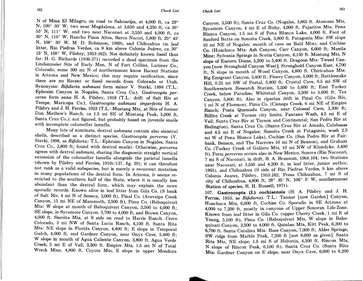**N of Mina- El Milagro, on road to Sahuaripa, at 4,000 ft, ca 29° N, 109° 30' W; two near Magdalena, at 3,650 and 4,250 ft, ca 30° 55' N, 111° W; and two near Nacozari at 3,550 and 4,000 ft, ca 30° N, 110° W. Rancho Pinos Altos, Sierra Nacori, 5,800 ft, 29° 45' N, 108° 30' W, M. D. Robinson, 1969), and Chihuahua (in leaf litter, Rio Piedras Verdes, ca 9 km above Colonia Juarez, ca 30° 15' N, 108° W, Pilsbry, 1953:162). Not definitely known fossil thus far. H. G. Richards (1936:371) recorded a dead specimen from the Lindenmeier Site of Early Man, N of Fort Collins, Larimer Co., Colorado, some 300 mi N of northernmost know Recent Stations in Arizona and New Mexico; this may require verification, since there are no Recent or fossil records from Colorado or Utah. Synonyms:** *Bifidaria ashmuni* **form** *minor* **V. Sterki, 1898 (T.L.: Ephraim Canyon in Nogales, Santa Cruz Co.).** *Gastrocopta perversa* **form** *sana* **H. A. Pilsbry, 1918 (T.L.: drift of Salt Riv at Tempe, Maricopa Co.),** *Gastrocopta ashmuni imperfecta* **H. A. Pilsbry and J. H. Ferriss, 1923 (T.L.: Mustang Mts, at Site of former Dan Mathew's Ranch, ca 1.5 mi SE of Mustang Peak, 5,000 ft, Santa Cruz Co.); not figured, but probably based on juvenile snails with incomplete columellar lamella.** 

**Many lots of nominate, dextral** *ashmuni* **contain also sinistral shells, described as a distinct species,** *Gastrocopta perversa* **(V. Sterki, 1898, as** *Bifidaria;* **T.L.: Ephraim Canyon in Nogales, Santa Cruz Co., 3,800 ft; found with dextral snails). Otherwise,** *perversa*  **agrees with dextral** *ashmuni,* **sharing the diagnostic straight vertical extension of the columellar lamella alongside the parietal lamella (shown by Pilsbry and Ferriss, 1910c:137, fig. 29); it can therefore not rank as a valid subspecies, but is merely a recurrent mutation in many populations of the dextral form. In Arizona, it seems restricted to the southern half of the State, where it is usually less abundant than the dextral form, which may explain the more sporadic records. Known alive in leaf litter from Gila Co. (S bank of Salt Riv, 4 mi N of Seneca, 3,000 ft), Pinal Co. (Aravaipa Creek Canyon, 15 mi NE of Mammoth, 2,500 ft), Pima Co. (Baboquivari Mts: W slope at mouth of Baboquivari Canyon, 3,500 to 4,000 ft; SE slope, in Sycamore Canyon, 3,700 to 4,000 ft, and Brown Canyon, 4,000 ft. Sierrita Mts, at S side on road to Harris Ranch. Cerro Colorado, 3 mi NW of Santa Lucia Ranch, 4,100 ft. Santa Rita Mts: NE slope in Florida Canyon, 4,400 ft; E slope in Temporal Gulch, 4,000 ft, and Gardner Canyon, near Onyx Cave, 5,400 ft; W slope in mouth of Agua Caliente Canyon, 3,800 ft. Agua Verde Creek, 5 mi E of Vail, 3,300 ft. Empire Mts, 1.5 mi N of Total Wreck Mine, 4,800 ft. Coyote Mts, E slope in upper Mendoza** 

**Canyon, 3,500 ft), Santa Cruz Co. (Nogales, 3,865 ft. Atascosa Mts, Sycamore Canyon, 4 mi E of Ruby, 4,000 ft. Pajaritos Mts, Pena Blanca Canyon, 1.5 mi S of Pena Blanca Lake, 4,000 ft. Foot of Sanford Butte on Sonoita Creek, 3,800 ft. Patagonia Mts: SW slope 10 mi NE of Nogales; mouth of cave on Bald Mtn), and Cochise Co. (Huachuca Mts: Ash Canyon; Carr Canyon, 6,600 ft; Manila Mine; Sylvania Springs in Scotia Canyon, 6,150 ft. Mustang Mts, N slope of Eastern Dome, 5,200 to 5,400 ft. Dragoon Mts: Tweed Canyon [now Stronghold Canyon West]; Stronghold Canyon East, 4,700 ft; N slope in mouth of Wood Canyon, 4,800 ft. Chiricahua Mts: Big Emigrant Canyon, 5,400 ft; Pinery Canyon, 5,000 ft; Rattlesnake Hill, 0.25 mi SW of Portal, 5,800 ft; Crystal Cave, 0.5 mi SW of Southwestern Research Station, 5,500 to 5,600 ft; East Turkey Creek, below Paradise; Whitetail Canyon, 5,500 to 5,600 ft; Tex Canyon, 5,800 ft). Also in riparian drift in Pinal Co. (Gila Riv, 1 mi N of Florence), Pima Co. (Cienega Creek, 6 mi NE of Empire Ranch; Posta Quemada Canyon, near Colossal Cave, 3,300 ft; Rillito Creek at Tucson city limits; Pantano Wash, 4.5 mi E of Vail; Santa Cruz Riv at Tucson and Continental; San Pedro Riv at Redington), Santa Cruz Co. (Santa Cruz Riv at Amado, Calabasas and 4.5 mi E of Nogales; Sonoita Creek at Patagonia; wash 2.5 mi W of Pena Blanca Lake), Cochise Co. (San Pedro Riv at Fairbank, Benson, and The Narrows 10 mi N of Benson), and Graham Co. (Turkey Creek of Galiuro Mts, 10 mi NW of Klondyke, 3,400 ft). Form** *perversa* **occurs also in New Mexico, Sonora (Rio Nacozari, 7 mi S of Nacozari, in drift, B. A. Bransom, 1964:104; two Stations near Nacozari, at 3,550 and 4,200 ft, in leaf litter, junior author, 1965), and Chihuahua (S side of Rio Piedras Verdes, 9 km above Colonia Juarez, Pilsbry, 1953:162; Presa Chihuahua, 7 mi S of city of Chihuahua, 4,800 ft, 28° 35' N, 106° 5' W, southernmost Station of species, R. H. Russell, 1971).** 

**107. Gastrocopta (I.) cochisensis (H. A. Pilsbry and J. H. Ferriss, 1910, as** *Bifidaria).* **T.L.: Tanner [now Garden] Canyon, Huachuca Mts, 6,000 ft, Cochise Co. Sporadic in SE Arizona at 4,000 to 7,200 ft, mostly in canyons of Upper Sonoran Life-Zone. Known from leaf litter in Gila Co. (upper Cherry Creek, 1 mi E of Young, 5,100 ft), Pima Co. (Baboquivari Mts, W slope in Baboquivari Canyon, 3,500 to 4,000 ft. Quinlan Mts, Kitt Peak, 6,300 to 6,700 ft. Santa Catalina Mts: Rose Canyon, 7,000 ft; Alder Springs; SW ridge from Marble Peak, 7,200 ft [not 8,000 as given]. Santa Rita Mts, NE slope, 1.5 mi S of Helvetia, 4,500 ft. Rincon Mts, N slope of Rincon Peak, 6,100 ft), Santa Cruz Co. (Santa Rita Mts: Gardner Canyon on E slope, near Onyx Cave, 6,000 to 6,200**